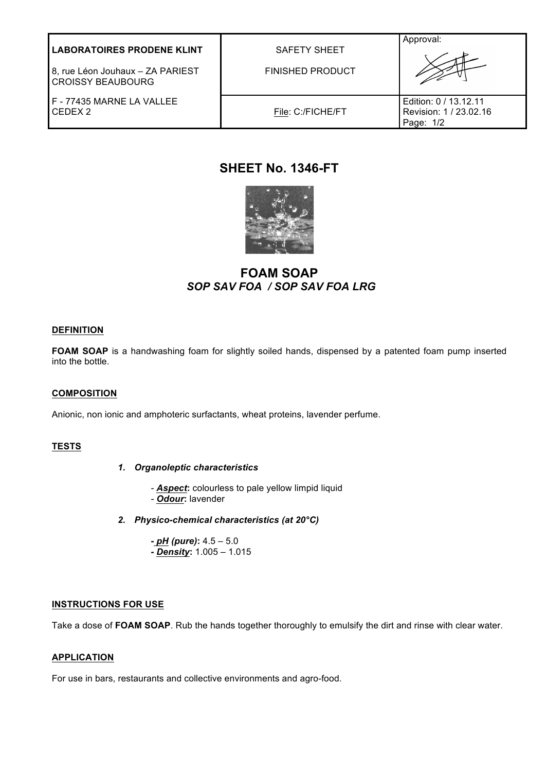| <b>LABORATOIRES PRODENE KLINT</b><br>8, rue Léon Jouhaux - ZA PARIEST<br><b>CROISSY BEAUBOURG</b> | <b>SAFETY SHEET</b><br><b>FINISHED PRODUCT</b> | Approval:                                                    |
|---------------------------------------------------------------------------------------------------|------------------------------------------------|--------------------------------------------------------------|
| F - 77435 MARNE LA VALLEE<br>CFDFX 2                                                              | File: C:/FICHE/FT                              | Edition: 0 / 13.12.11<br>Revision: 1 / 23.02.16<br>Page: 1/2 |

# **SHEET No. 1346-FT**



**FOAM SOAP** *SOP SAV FOA / SOP SAV FOA LRG* 

# **DEFINITION**

FOAM SOAP is a handwashing foam for slightly soiled hands, dispensed by a patented foam pump inserted into the bottle.

## **COMPOSITION**

Anionic, non ionic and amphoteric surfactants, wheat proteins, lavender perfume.

## **TESTS**

- *1. Organoleptic characteristics*
	- *- Aspect***:** colourless to pale yellow limpid liquid
	- *- Odour***:** lavender
- *2. Physico-chemical characteristics (at 20°C)*
	- *- pH (pure)***:** 4.5 5.0 *- Density***:** 1.005 – 1.015

### **INSTRUCTIONS FOR USE**

Take a dose of **FOAM SOAP**. Rub the hands together thoroughly to emulsify the dirt and rinse with clear water.

#### **APPLICATION**

For use in bars, restaurants and collective environments and agro-food.